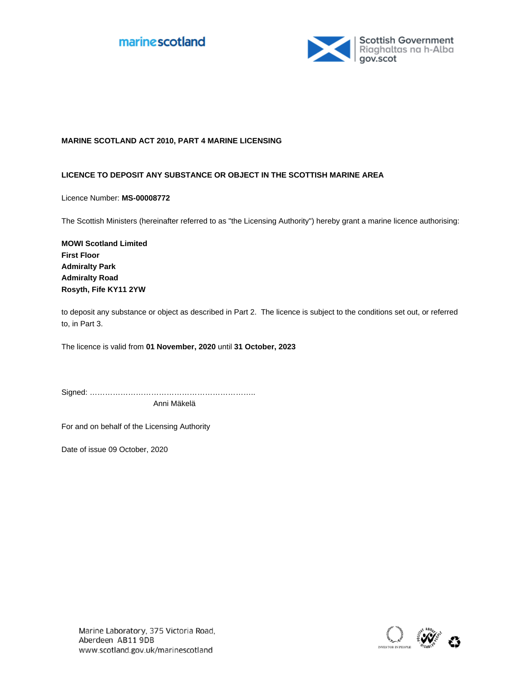



## **MARINE SCOTLAND ACT 2010, PART 4 MARINE LICENSING**

#### **LICENCE TO DEPOSIT ANY SUBSTANCE OR OBJECT IN THE SCOTTISH MARINE AREA**

Licence Number: **MS-00008772**

The Scottish Ministers (hereinafter referred to as "the Licensing Authority") hereby grant a marine licence authorising:

**MOWI Scotland Limited First Floor Admiralty Park Admiralty Road Rosyth, Fife KY11 2YW**

to deposit any substance or object as described in Part 2. The licence is subject to the conditions set out, or referred to, in Part 3.

The licence is valid from 01 November, 2020 until 31 October, 2023

Signed: ……………………………………………………….. Anni Mäkelä

For and on behalf of the Licensing Authority

Date of issue 09 October, 2020

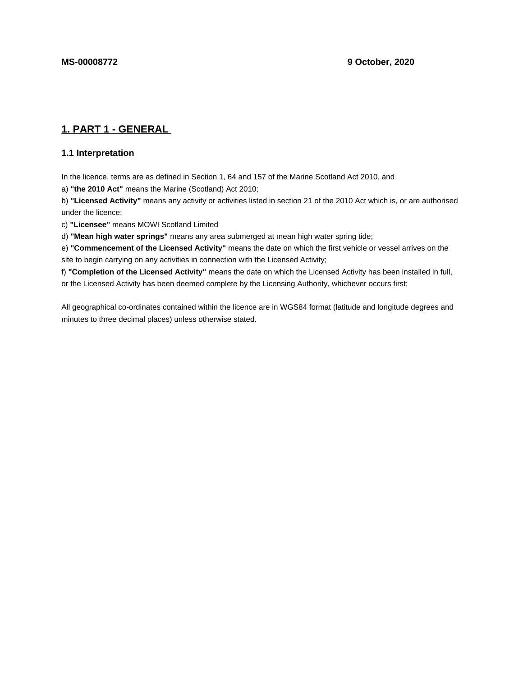# **1. PART 1 - GENERAL**

## **1.1 Interpretation**

In the licence, terms are as defined in Section 1, 64 and 157 of the Marine Scotland Act 2010, and

a) **"the 2010 Act"** means the Marine (Scotland) Act 2010;

b) **"Licensed Activity"** means any activity or activities listed in section 21 of the 2010 Act which is, or are authorised under the licence;

c) **"Licensee"** means MOWI Scotland Limited

d) **"Mean high water springs"** means any area submerged at mean high water spring tide;

e) **"Commencement of the Licensed Activity"** means the date on which the first vehicle or vessel arrives on the site to begin carrying on any activities in connection with the Licensed Activity;

f) **"Completion of the Licensed Activity"** means the date on which the Licensed Activity has been installed in full, or the Licensed Activity has been deemed complete by the Licensing Authority, whichever occurs first;

All geographical co-ordinates contained within the licence are in WGS84 format (latitude and longitude degrees and minutes to three decimal places) unless otherwise stated.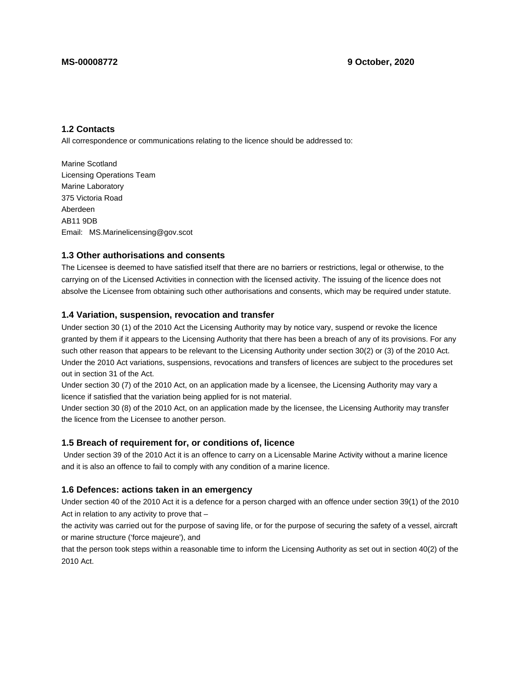## **1.2 Contacts**

All correspondence or communications relating to the licence should be addressed to:

Marine Scotland Licensing Operations Team Marine Laboratory 375 Victoria Road Aberdeen AB11 9DB Email: MS.Marinelicensing@gov.scot

#### **1.3 Other authorisations and consents**

The Licensee is deemed to have satisfied itself that there are no barriers or restrictions, legal or otherwise, to the carrying on of the Licensed Activities in connection with the licensed activity. The issuing of the licence does not absolve the Licensee from obtaining such other authorisations and consents, which may be required under statute.

#### **1.4 Variation, suspension, revocation and transfer**

Under section 30 (1) of the 2010 Act the Licensing Authority may by notice vary, suspend or revoke the licence granted by them if it appears to the Licensing Authority that there has been a breach of any of its provisions. For any such other reason that appears to be relevant to the Licensing Authority under section 30(2) or (3) of the 2010 Act. Under the 2010 Act variations, suspensions, revocations and transfers of licences are subject to the procedures set out in section 31 of the Act.

Under section 30 (7) of the 2010 Act, on an application made by a licensee, the Licensing Authority may vary a licence if satisfied that the variation being applied for is not material.

Under section 30 (8) of the 2010 Act, on an application made by the licensee, the Licensing Authority may transfer the licence from the Licensee to another person.

### **1.5 Breach of requirement for, or conditions of, licence**

 Under section 39 of the 2010 Act it is an offence to carry on a Licensable Marine Activity without a marine licence and it is also an offence to fail to comply with any condition of a marine licence.

#### **1.6 Defences: actions taken in an emergency**

Under section 40 of the 2010 Act it is a defence for a person charged with an offence under section 39(1) of the 2010 Act in relation to any activity to prove that –

the activity was carried out for the purpose of saving life, or for the purpose of securing the safety of a vessel, aircraft or marine structure ('force majeure'), and

that the person took steps within a reasonable time to inform the Licensing Authority as set out in section 40(2) of the 2010 Act.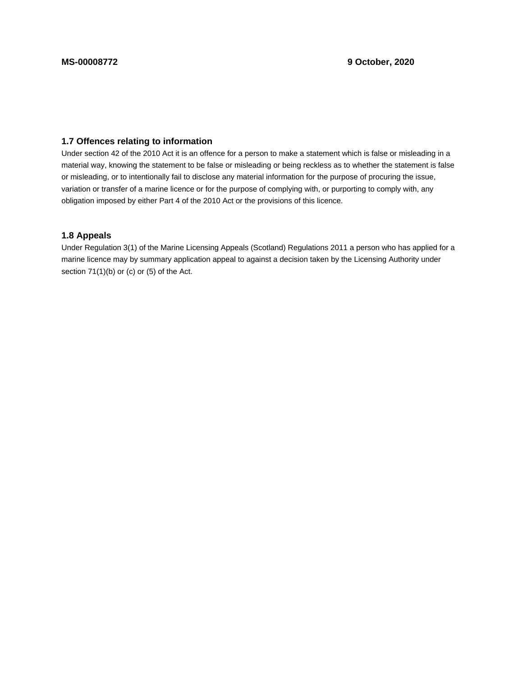## **1.7 Offences relating to information**

Under section 42 of the 2010 Act it is an offence for a person to make a statement which is false or misleading in a material way, knowing the statement to be false or misleading or being reckless as to whether the statement is false or misleading, or to intentionally fail to disclose any material information for the purpose of procuring the issue, variation or transfer of a marine licence or for the purpose of complying with, or purporting to comply with, any obligation imposed by either Part 4 of the 2010 Act or the provisions of this licence.

## **1.8 Appeals**

Under Regulation 3(1) of the Marine Licensing Appeals (Scotland) Regulations 2011 a person who has applied for a marine licence may by summary application appeal to against a decision taken by the Licensing Authority under section 71(1)(b) or (c) or (5) of the Act.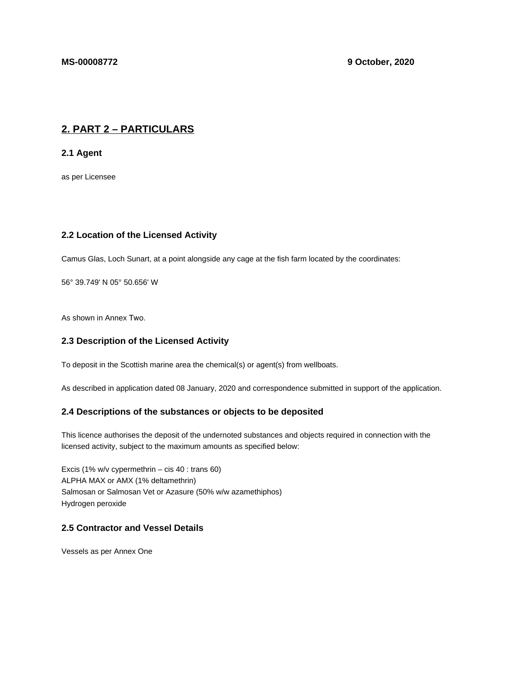# **2. PART 2 – PARTICULARS**

**2.1 Agent**

as per Licensee

## **2.2 Location of the Licensed Activity**

Camus Glas, Loch Sunart, at a point alongside any cage at the fish farm located by the coordinates:

56° 39.749' N 05° 50.656' W

As shown in Annex Two.

## **2.3 Description of the Licensed Activity**

To deposit in the Scottish marine area the chemical(s) or agent(s) from wellboats.

As described in application dated 08 January, 2020 and correspondence submitted in support of the application.

### **2.4 Descriptions of the substances or objects to be deposited**

This licence authorises the deposit of the undernoted substances and objects required in connection with the licensed activity, subject to the maximum amounts as specified below:

Excis (1% w/v cypermethrin – cis 40 : trans 60) ALPHA MAX or AMX (1% deltamethrin) Salmosan or Salmosan Vet or Azasure (50% w/w azamethiphos) Hydrogen peroxide

## **2.5 Contractor and Vessel Details**

Vessels as per Annex One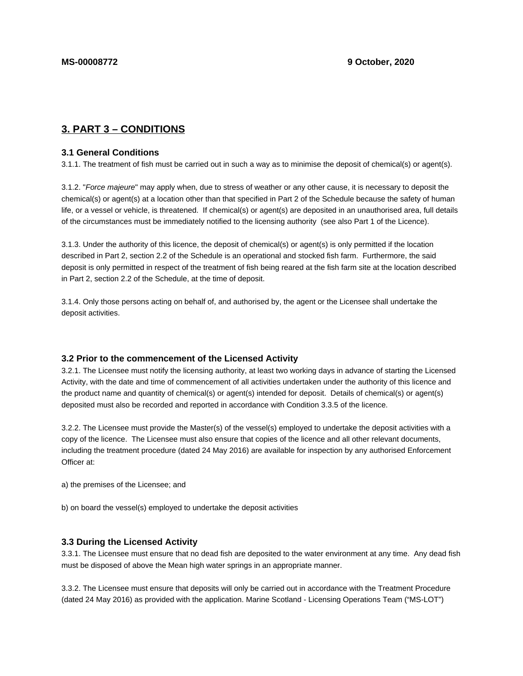# **3. PART 3 – CONDITIONS**

#### **3.1 General Conditions**

3.1.1. The treatment of fish must be carried out in such a way as to minimise the deposit of chemical(s) or agent(s).

3.1.2. "Force majeure" may apply when, due to stress of weather or any other cause, it is necessary to deposit the chemical(s) or agent(s) at a location other than that specified in Part 2 of the Schedule because the safety of human life, or a vessel or vehicle, is threatened. If chemical(s) or agent(s) are deposited in an unauthorised area, full details of the circumstances must be immediately notified to the licensing authority (see also Part 1 of the Licence).

3.1.3. Under the authority of this licence, the deposit of chemical(s) or agent(s) is only permitted if the location described in Part 2, section 2.2 of the Schedule is an operational and stocked fish farm. Furthermore, the said deposit is only permitted in respect of the treatment of fish being reared at the fish farm site at the location described in Part 2, section 2.2 of the Schedule, at the time of deposit.

3.1.4. Only those persons acting on behalf of, and authorised by, the agent or the Licensee shall undertake the deposit activities.

#### **3.2 Prior to the commencement of the Licensed Activity**

3.2.1. The Licensee must notify the licensing authority, at least two working days in advance of starting the Licensed Activity, with the date and time of commencement of all activities undertaken under the authority of this licence and the product name and quantity of chemical(s) or agent(s) intended for deposit. Details of chemical(s) or agent(s) deposited must also be recorded and reported in accordance with Condition 3.3.5 of the licence.

3.2.2. The Licensee must provide the Master(s) of the vessel(s) employed to undertake the deposit activities with a copy of the licence. The Licensee must also ensure that copies of the licence and all other relevant documents, including the treatment procedure (dated 24 May 2016) are available for inspection by any authorised Enforcement Officer at:

a) the premises of the Licensee; and

b) on board the vessel(s) employed to undertake the deposit activities

#### **3.3 During the Licensed Activity**

3.3.1. The Licensee must ensure that no dead fish are deposited to the water environment at any time. Any dead fish must be disposed of above the Mean high water springs in an appropriate manner.

3.3.2. The Licensee must ensure that deposits will only be carried out in accordance with the Treatment Procedure (dated 24 May 2016) as provided with the application. Marine Scotland - Licensing Operations Team ("MS-LOT")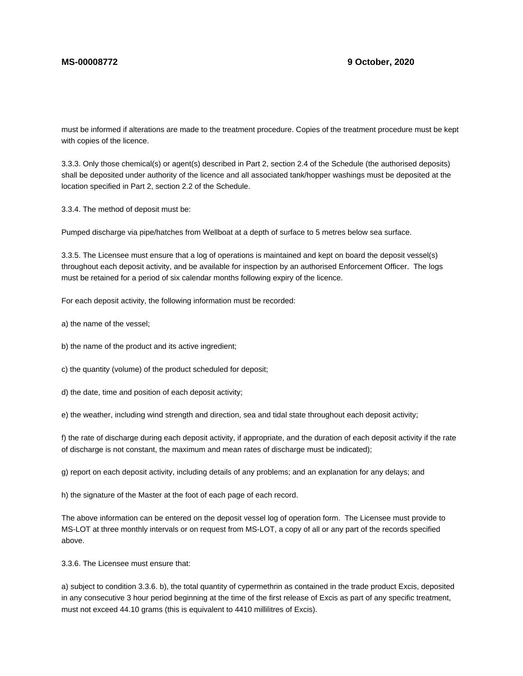must be informed if alterations are made to the treatment procedure. Copies of the treatment procedure must be kept with copies of the licence.

3.3.3. Only those chemical(s) or agent(s) described in Part 2, section 2.4 of the Schedule (the authorised deposits) shall be deposited under authority of the licence and all associated tank/hopper washings must be deposited at the location specified in Part 2, section 2.2 of the Schedule.

3.3.4. The method of deposit must be:

Pumped discharge via pipe/hatches from Wellboat at a depth of surface to 5 metres below sea surface.

3.3.5. The Licensee must ensure that a log of operations is maintained and kept on board the deposit vessel(s) throughout each deposit activity, and be available for inspection by an authorised Enforcement Officer. The logs must be retained for a period of six calendar months following expiry of the licence.

For each deposit activity, the following information must be recorded:

a) the name of the vessel;

b) the name of the product and its active ingredient;

c) the quantity (volume) of the product scheduled for deposit;

d) the date, time and position of each deposit activity;

e) the weather, including wind strength and direction, sea and tidal state throughout each deposit activity;

f) the rate of discharge during each deposit activity, if appropriate, and the duration of each deposit activity if the rate of discharge is not constant, the maximum and mean rates of discharge must be indicated);

g) report on each deposit activity, including details of any problems; and an explanation for any delays; and

h) the signature of the Master at the foot of each page of each record.

The above information can be entered on the deposit vessel log of operation form. The Licensee must provide to MS-LOT at three monthly intervals or on request from MS-LOT, a copy of all or any part of the records specified above.

3.3.6. The Licensee must ensure that:

a) subject to condition 3.3.6. b), the total quantity of cypermethrin as contained in the trade product Excis, deposited in any consecutive 3 hour period beginning at the time of the first release of Excis as part of any specific treatment, must not exceed 44.10 grams (this is equivalent to 4410 millilitres of Excis).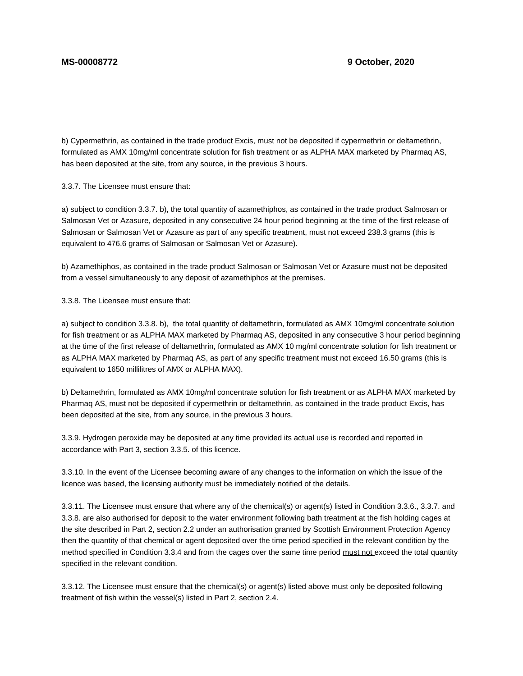b) Cypermethrin, as contained in the trade product Excis, must not be deposited if cypermethrin or deltamethrin, formulated as AMX 10mg/ml concentrate solution for fish treatment or as ALPHA MAX marketed by Pharmaq AS, has been deposited at the site, from any source, in the previous 3 hours.

3.3.7. The Licensee must ensure that:

a) subject to condition 3.3.7. b), the total quantity of azamethiphos, as contained in the trade product Salmosan or Salmosan Vet or Azasure, deposited in any consecutive 24 hour period beginning at the time of the first release of Salmosan or Salmosan Vet or Azasure as part of any specific treatment, must not exceed 238.3 grams (this is equivalent to 476.6 grams of Salmosan or Salmosan Vet or Azasure).

b) Azamethiphos, as contained in the trade product Salmosan or Salmosan Vet or Azasure must not be deposited from a vessel simultaneously to any deposit of azamethiphos at the premises.

3.3.8. The Licensee must ensure that:

a) subject to condition 3.3.8. b), the total quantity of deltamethrin, formulated as AMX 10mg/ml concentrate solution for fish treatment or as ALPHA MAX marketed by Pharmaq AS, deposited in any consecutive 3 hour period beginning at the time of the first release of deltamethrin, formulated as AMX 10 mg/ml concentrate solution for fish treatment or as ALPHA MAX marketed by Pharmaq AS, as part of any specific treatment must not exceed 16.50 grams (this is equivalent to 1650 millilitres of AMX or ALPHA MAX).

b) Deltamethrin, formulated as AMX 10mg/ml concentrate solution for fish treatment or as ALPHA MAX marketed by Pharmaq AS, must not be deposited if cypermethrin or deltamethrin, as contained in the trade product Excis, has been deposited at the site, from any source, in the previous 3 hours.

3.3.9. Hydrogen peroxide may be deposited at any time provided its actual use is recorded and reported in accordance with Part 3, section 3.3.5. of this licence.

3.3.10. In the event of the Licensee becoming aware of any changes to the information on which the issue of the licence was based, the licensing authority must be immediately notified of the details.

3.3.11. The Licensee must ensure that where any of the chemical(s) or agent(s) listed in Condition 3.3.6., 3.3.7. and 3.3.8. are also authorised for deposit to the water environment following bath treatment at the fish holding cages at the site described in Part 2, section 2.2 under an authorisation granted by Scottish Environment Protection Agency then the quantity of that chemical or agent deposited over the time period specified in the relevant condition by the method specified in Condition 3.3.4 and from the cages over the same time period must not exceed the total quantity specified in the relevant condition.

3.3.12. The Licensee must ensure that the chemical(s) or agent(s) listed above must only be deposited following treatment of fish within the vessel(s) listed in Part 2, section 2.4.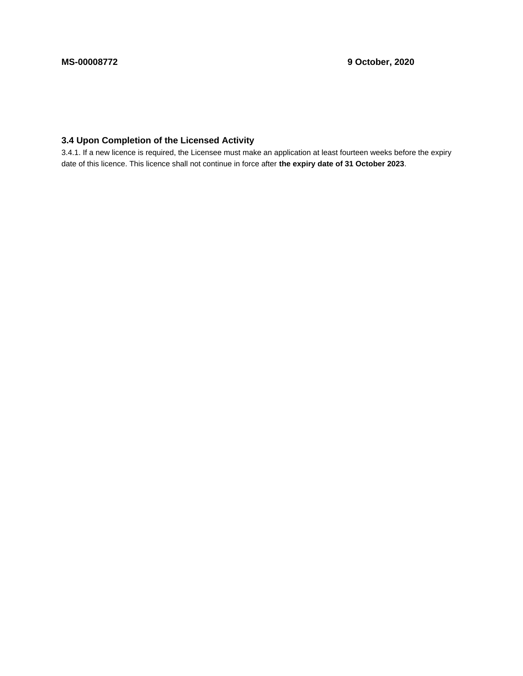## **3.4 Upon Completion of the Licensed Activity**

3.4.1. If a new licence is required, the Licensee must make an application at least fourteen weeks before the expiry date of this licence. This licence shall not continue in force after **the expiry date of 31 October 2023**.